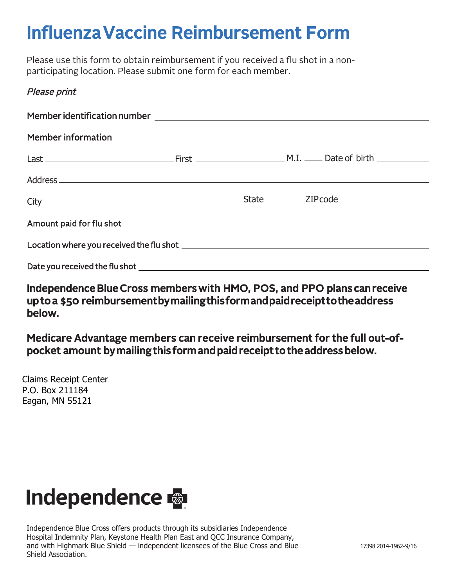# Influenza Vaccine Reimbursement Form

Please use this form to obtain reimbursement if you received a flu shot in a nonparticipating location. Please submit one form for each member.

# Please print

| <b>Member information</b> |  |
|---------------------------|--|
|                           |  |
|                           |  |
|                           |  |
|                           |  |
|                           |  |
|                           |  |

Independence Blue Cross members with HMO, POS, and PPO plans can receive up to a \$50 reimbursement by mailing this form and paid receipt to the address below.

Medicare Advantage members can receive reimbursement for the full out-ofpocket amount by mailing this form and paid receipt to the address below.

Claims Receipt Center P.O. Box 211184 Eagan, MN 55121

# **Independence &**

Independence Blue Cross offers products through its subsidiaries Independence Hospital Indemnity Plan, Keystone Health Plan East and QCC Insurance Company, and with Highmark Blue Shield — independent licensees of the Blue Cross and Blue Shield Association.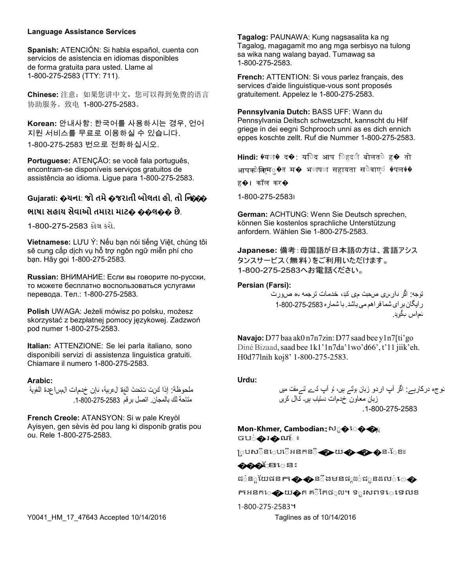#### **Language Assistance Services**

**Spanish:** ATENCIÓN: Si habla español, cuenta con servicios de asistencia en idiomas disponibles de forma gratuita para usted. Llame al 1-800-275-2583 (TTY: 711).

**Chinese:** 注意:如果您讲中文,您可以得到免费的语言 协助服务。致电 1-800-275-2583。

**Korean:** 안내사항: 한국어를 사용하시는 경우, 언어 지원 서비스를 무료로 이용하실 수 있습니다. 1-800-275-2583 번으로 전화하십시오.

**Portuguese:** ATENÇÃO: se você fala português, encontram-se disponíveis serviços gratuitos de assistência ao idioma. Ligue para 1-800-275-2583.

## **Gujarati: �ચના**: **જો તમે�જરાતી બોલતા હો**, **તો િ◌ન**:**���**

#### **ભાષા સહાય સેવાઓ તમારા માટ� ��લ�� છે**.

1-800-275-2583 કોલ કરો.

**Vietnamese:** LƯU Ý: Nếu bạn nói tiếng Việt, chúng tôi sẽ cung cấp dịch vụ hỗ trợ ngôn ngữ miễn phí cho bạn. Hãy gọi 1-800-275-2583.

**Russian:** ВНИМАНИЕ: Если вы говорите по-русски, то можете бесплатно воспользоваться услугами перевода. Тел.: 1-800-275-2583.

**Polish** UWAGA: Jeżeli mówisz po polsku, możesz skorzystać z bezpłatnej pomocy językowej. Zadzwoń pod numer 1-800-275-2583.

**Italian:** ATTENZIONE: Se lei parla italiano, sono disponibili servizi di assistenza linguistica gratuiti. Chiamare il numero 1-800-275-2583.

#### **Arabic:**

ملحوظة: إذا كنت تتحدث اللغة العربیة، فإن خدمات المساعدة اللغویة متاحة لك بالمجان. اتصل برقم .1-800-275-2583

**French Creole:** ATANSYON: Si w pale Kreyòl Ayisyen, gen sèvis èd pou lang ki disponib gratis pou ou. Rele 1-800-275-2583.

Y0041\_HM\_17\_47643 Accepted 10/14/2016 Taglines as of 10/14/2016

**Tagalog:** PAUNAWA: Kung nagsasalita ka ng Tagalog, magagamit mo ang mga serbisyo na tulong sa wika nang walang bayad. Tumawag sa 1-800-275-2583.

**French:** ATTENTION: Si vous parlez français, des services d'aide linguistique-vous sont proposés gratuitement. Appelez le 1-800-275-2583.

**Pennsylvania Dutch:** BASS UFF: Wann du Pennsylvania Deitsch schwetzscht, kannscht du Hilf griege in dei eegni Schprooch unni as es dich ennich eppes koschte zellt. Ruf die Nummer 1-800-275-2583.

**Hindi: ♦य**ा� द�: य**िद आप िहद**ी बोलत**े ह�** तो आपक्ेब्रिम**ु�त म� भ**ाष**ा सहायता स**ेवाए**ं ♦पल**♦♦

ह�। कॉल कर�

1-800-275-2583।

**German:** ACHTUNG: Wenn Sie Deutsch sprechen, können Sie kostenlos sprachliche Unterstützung anfordern. Wählen Sie 1-800-275-2583.

**Japanese:** 備考:母国語が日本語の方は、言語アシス タンスサービス(無料)をご利用いただけます。 1-800-275-2583へお電話ください。

#### **Persian (Farsi):**

توجھ: اگر فارسی صحبت می کنید، خدمات ترجمھ به صورت رایگان برای شما فراھممی باشد. با شماره 1-800-275-2583 تماس بگیرید.

**Navajo:** D77 baa ak0 n7n7zin: D77 saad bee y1n7[ti'go Diné Bizaad, saad bee 1k1'1n7da'1wo'd66', t'11 jiik'eh. H0d77lnih koj8' 1-800-275-2583.

#### **Urdu:**

توجه درکارہے: اگر آپ اردو زبان بولتے ہیں، تو آپ کے لئےمفت میں زبان معاون خدمات دستیاب ہیں۔ کال کریں .1-800-275-2583

# **Mon-Khmer, Cambodian: ស**ុ $\bullet$ េ $\bullet$

ចប**់�**រ�ណ ៖

្របស**ិន**េប**ើអនកន**ិ��យ����ន-ែខា

 $\bullet\bullet\bullet$ ିଥ $\circ\textsc{s}:$ 

ជៈន**ូយែផនក��ន**ីងមនផ្លាប់ជ**ួនដល**់េ�

កាអនក**េ⊕យ�**ត គ឵ិកៃថ**ុល។ ទ**ួរសពទ**េទេលខ** 

1-800-275-2583។